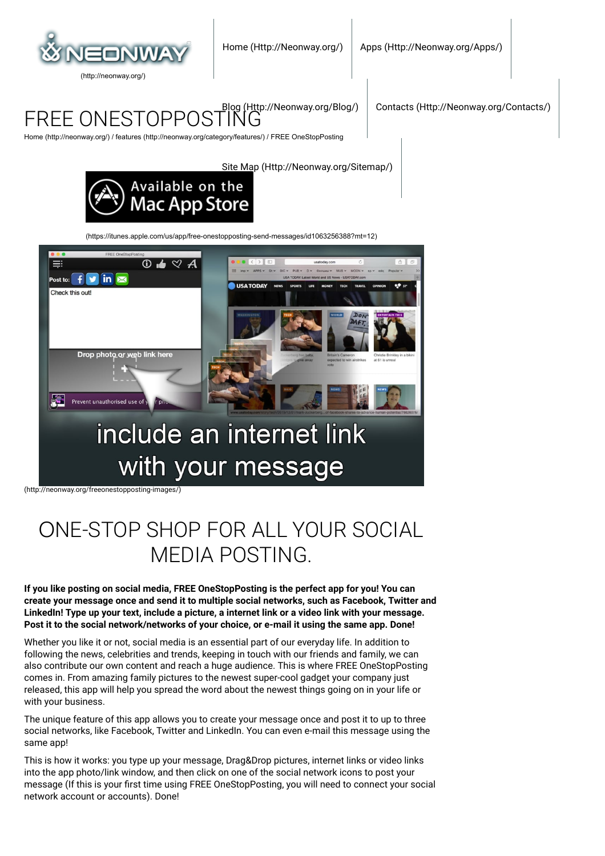

FREE ONESTOPPOSTING

[Contacts \(Http://Neonway.org/Contacts/\)](http://neonway.org/contacts/)

[Home \(http://neonway.org/\)](http://neonway.org/) / [features \(http://neonway.org/category/features/\)](http://neonway.org/category/features/) / FREE OneStopPosting

[Site Map \(Http://Neonway.org/Sitemap/\)](http://neonway.org/sitemap/)



[\(https://itunes.apple.com/us/app/free-onestopposting-send-messages/id1063256388?mt=12\)](https://itunes.apple.com/us/app/free-onestopposting-send-messages/id1063256388?mt=12)



[\(http://neonway.org/freeonestopposting-images/\)](http://neonway.org/freeonestopposting-images/)

# ОNE-STOP SHOP FOR ALL YOUR SOCIAL MEDIA POSTING.

**If you like posting on social media, FREE OneStopPosting is the perfect app for you! You can create your message once and send it to multiple social networks, such as Facebook, Twitter and LinkedIn! Type up your text, include a picture, a internet link or a video link with your message. Post it to the social network/networks of your choice, or e-mail it using the same app. Done!**

Whether you like it or not, social media is an essential part of our everyday life. In addition to following the news, celebrities and trends, keeping in touch with our friends and family, we can also contribute our own content and reach a huge audience. This is where FREE OneStopPosting comes in. From amazing family pictures to the newest super-cool gadget your company just released, this app will help you spread the word about the newest things going on in your life or with your business.

The unique feature of this app allows you to create your message once and post it to up to three social networks, like Facebook, Twitter and LinkedIn. You can even e-mail this message using the same app!

This is how it works: you type up your message, Drag&Drop pictures, internet links or video links into the app photo/link window, and then click on one of the social network icons to post your message (If this is your first time using FREE OneStopPosting, you will need to connect your social network account or accounts). Done!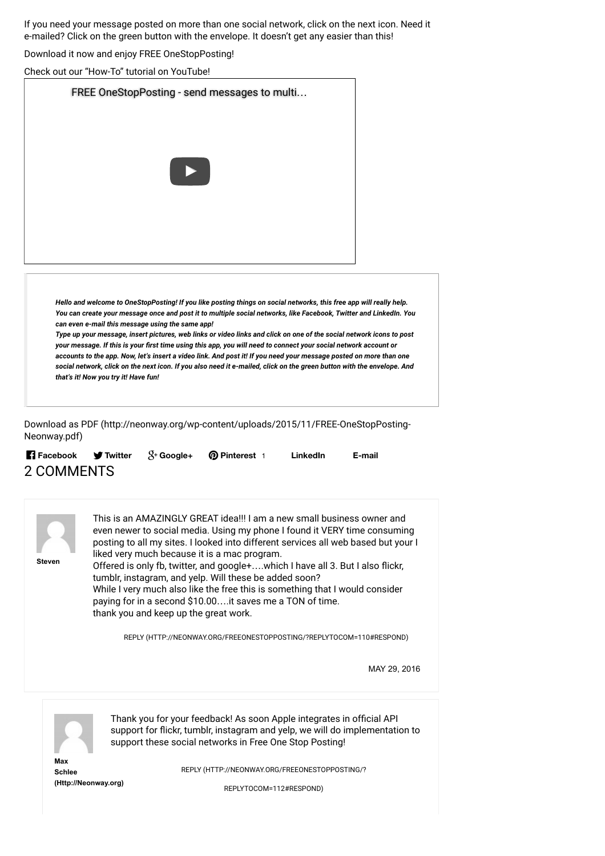If you need your message posted on more than one social network, click on the next icon. Need it e-mailed? Click on the green button with the envelope. It doesn't get any easier than this!

Download it now and enjoy FREE OneStopPosting!

Check out our "How-To" tutorial on YouTube!

| FREE OneStopPosting - send messages to multi                                                                                                                                                                                                                                                                                                                                                                                                                                             |  |
|------------------------------------------------------------------------------------------------------------------------------------------------------------------------------------------------------------------------------------------------------------------------------------------------------------------------------------------------------------------------------------------------------------------------------------------------------------------------------------------|--|
|                                                                                                                                                                                                                                                                                                                                                                                                                                                                                          |  |
|                                                                                                                                                                                                                                                                                                                                                                                                                                                                                          |  |
| Hello and welcome to OneStopPosting! If you like posting things on social networks, this free app will really help.<br>You can create your message once and post it to multiple social networks, like Facebook, Twitter and LinkedIn. You<br>can even e-mail this message using the same app!                                                                                                                                                                                            |  |
| Type up your message, insert pictures, web links or video links and click on one of the social network icons to post<br>your message. If this is your first time using this app, you will need to connect your social network account or<br>accounts to the app. Now, let's insert a video link. And post it! If you need your message posted on more than one<br>social network, click on the next icon. If you also need it e-mailed, click on the green button with the envelope. And |  |

[Download as PDF \(http://neonway.org/wp-content/uploads/2015/11/FREE-OneStopPosting-](http://neonway.org/wp-content/uploads/2015/11/FREE-OneStopPosting-Neonway.pdf)Neonway.pdf)

|            |  | <b>Facebook f</b> Twitter $S+$ Google+ <b>Q</b> Pinterest 1 | LinkedIn | E-mail |
|------------|--|-------------------------------------------------------------|----------|--------|
| 2 COMMENTS |  |                                                             |          |        |



This is an AMAZINGLY GREAT idea!!! I am a new small business owner and even newer to social media. Using my phone I found it VERY time consuming posting to all my sites. I looked into different services all web based but your I liked very much because it is a mac program.

Offered is only fb, twitter, and google+....which I have all 3. But I also flickr, tumblr, instagram, and yelp. Will these be added soon? While I very much also like the free this is something that I would consider paying for in a second \$10.00….it saves me a TON of time.

thank you and keep up the great work.

[REPLY \(HTTP://NEONWAY.ORG/FREEONESTOPPOSTING/?REPLYTOCOM=110#RESPOND\)](http://neonway.org/freeonestopposting/?replytocom=110#respond)

MAY 29, 2016



Thank you for your feedback! As soon Apple integrates in official API support for flickr, tumblr, instagram and yelp, we will do implementation to support these social networks in Free One Stop Posting!

**Max Schlee [\(Http://Neonway.org\)](http://neonway.org/)**

[REPLY \(HTTP://NEONWAY.ORG/FREEONESTOPPOSTING/?](http://neonway.org/freeonestopposting/?replytocom=112#respond)

REPLYTOCOM=112#RESPOND)